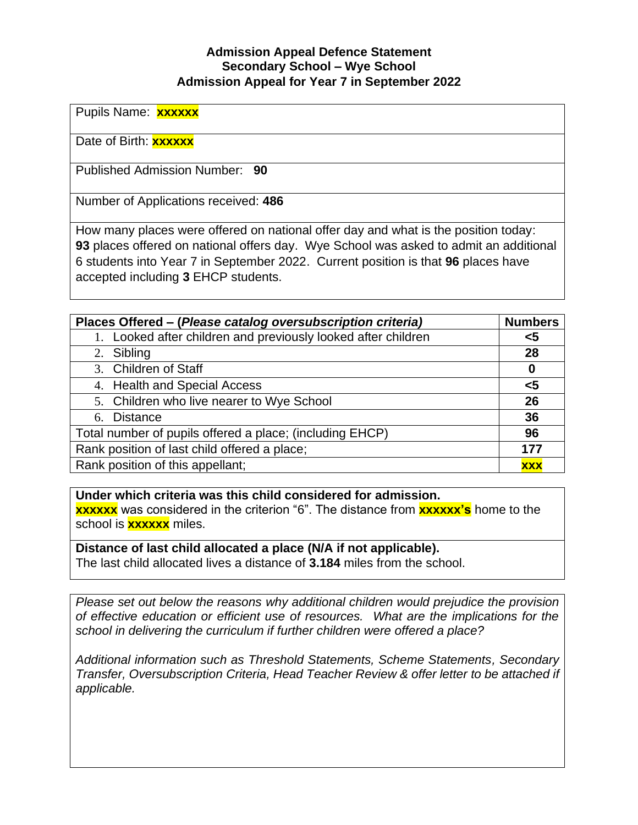## **Admission Appeal Defence Statement Secondary School – Wye School Admission Appeal for Year 7 in September 2022**

Pupils Name: **xxxxxx**

Date of Birth: **xxxxxx**

Published Admission Number: **90**

Number of Applications received: **486**

How many places were offered on national offer day and what is the position today: **93** places offered on national offers day. Wye School was asked to admit an additional 6 students into Year 7 in September 2022. Current position is that **96** places have accepted including **3** EHCP students.

| Places Offered – (Please catalog oversubscription criteria)   | <b>Numbers</b> |
|---------------------------------------------------------------|----------------|
| 1. Looked after children and previously looked after children | <5             |
| 2. Sibling                                                    | 28             |
| 3. Children of Staff                                          | 0              |
| 4. Health and Special Access                                  | $\leq 5$       |
| 5. Children who live nearer to Wye School                     | 26             |
| 6. Distance                                                   | 36             |
| Total number of pupils offered a place; (including EHCP)      | 96             |
| Rank position of last child offered a place;                  | 177            |
| Rank position of this appellant;                              | <b>XXX</b>     |

**Under which criteria was this child considered for admission. xxxxxx** was considered in the criterion "6". The distance from **xxxxxx's** home to the school is **xxxxxx** miles.

**Distance of last child allocated a place (N/A if not applicable).** The last child allocated lives a distance of **3.184** miles from the school.

*Please set out below the reasons why additional children would prejudice the provision of effective education or efficient use of resources. What are the implications for the school in delivering the curriculum if further children were offered a place?*

*Additional information such as Threshold Statements, Scheme Statements, Secondary Transfer, Oversubscription Criteria, Head Teacher Review & offer letter to be attached if applicable.*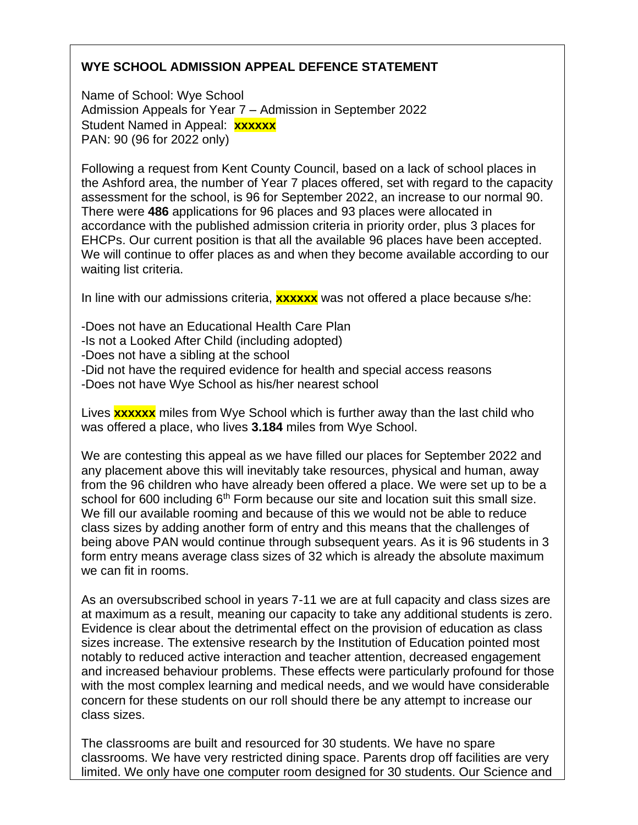## **WYE SCHOOL ADMISSION APPEAL DEFENCE STATEMENT**

Name of School: Wye School Admission Appeals for Year 7 – Admission in September 2022 Student Named in Appeal: **xxxxxx** PAN: 90 (96 for 2022 only)

Following a request from Kent County Council, based on a lack of school places in the Ashford area, the number of Year 7 places offered, set with regard to the capacity assessment for the school, is 96 for September 2022, an increase to our normal 90. There were **486** applications for 96 places and 93 places were allocated in accordance with the published admission criteria in priority order, plus 3 places for EHCPs. Our current position is that all the available 96 places have been accepted. We will continue to offer places as and when they become available according to our waiting list criteria.

In line with our admissions criteria, **xxxxxx** was not offered a place because s/he:

-Does not have an Educational Health Care Plan -Is not a Looked After Child (including adopted) -Does not have a sibling at the school -Did not have the required evidence for health and special access reasons -Does not have Wye School as his/her nearest school

Lives **xxxxxx** miles from Wye School which is further away than the last child who was offered a place, who lives **3.184** miles from Wye School.

We are contesting this appeal as we have filled our places for September 2022 and any placement above this will inevitably take resources, physical and human, away from the 96 children who have already been offered a place. We were set up to be a school for 600 including  $6<sup>th</sup>$  Form because our site and location suit this small size. We fill our available rooming and because of this we would not be able to reduce class sizes by adding another form of entry and this means that the challenges of being above PAN would continue through subsequent years. As it is 96 students in 3 form entry means average class sizes of 32 which is already the absolute maximum we can fit in rooms.

As an oversubscribed school in years 7-11 we are at full capacity and class sizes are at maximum as a result, meaning our capacity to take any additional students is zero. Evidence is clear about the detrimental effect on the provision of education as class sizes increase. The extensive research by the Institution of Education pointed most notably to reduced active interaction and teacher attention, decreased engagement and increased behaviour problems. These effects were particularly profound for those with the most complex learning and medical needs, and we would have considerable concern for these students on our roll should there be any attempt to increase our class sizes.

The classrooms are built and resourced for 30 students. We have no spare classrooms. We have very restricted dining space. Parents drop off facilities are very limited. We only have one computer room designed for 30 students. Our Science and